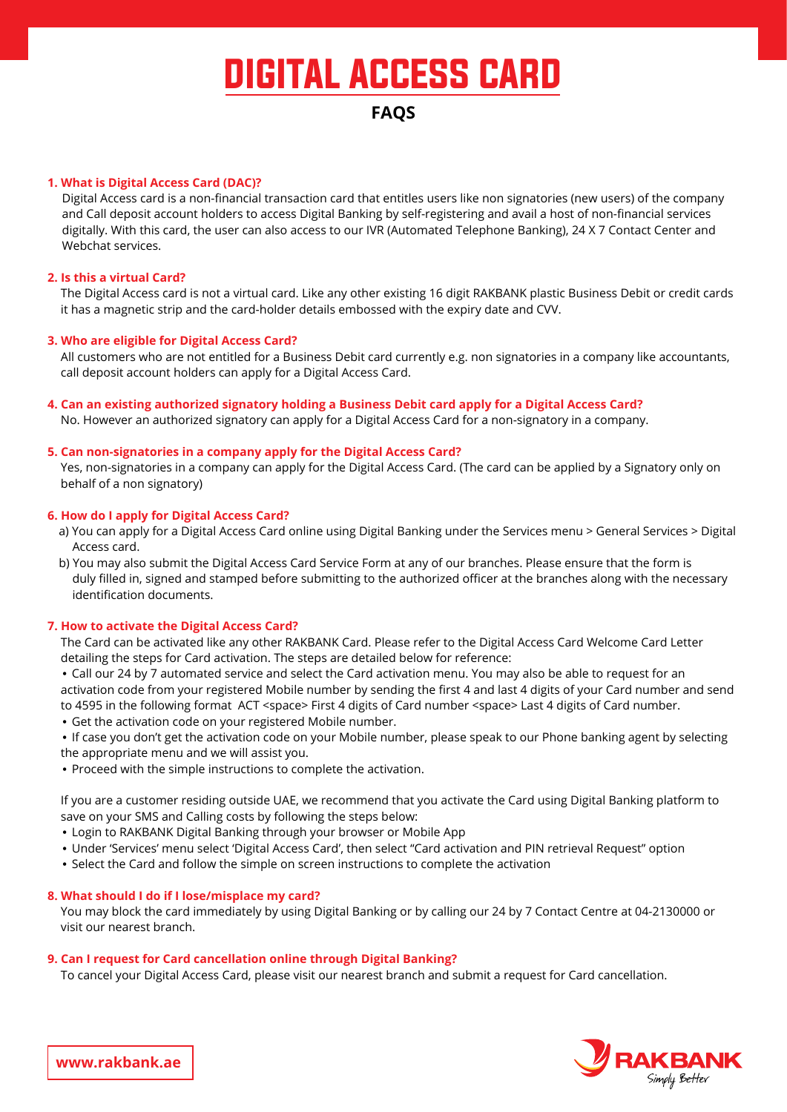# DIGITAL ACCESS CARD

# **FAQS**

# **1. What is Digital Access Card (DAC)?**

Digital Access card is a non-financial transaction card that entitles users like non signatories (new users) of the company and Call deposit account holders to access Digital Banking by self-registering and avail a host of non-financial services digitally. With this card, the user can also access to our IVR (Automated Telephone Banking), 24 X 7 Contact Center and Webchat services.

# **2. Is this a virtual Card?**

The Digital Access card is not a virtual card. Like any other existing 16 digit RAKBANK plastic Business Debit or credit cards it has a magnetic strip and the card-holder details embossed with the expiry date and CVV.

# **3. Who are eligible for Digital Access Card?**

All customers who are not entitled for a Business Debit card currently e.g. non signatories in a company like accountants, call deposit account holders can apply for a Digital Access Card.

# 4. Can an existing authorized signatory holding a Business Debit card apply for a Digital Access Card? No. However an authorized signatory can apply for a Digital Access Card for a non-signatory in a company.

# **5. Can non-signatories in a company apply for the Digital Access Card?**

Yes, non-signatories in a company can apply for the Digital Access Card. (The card can be applied by a Signatory only on behalf of a non signatory)

# **6. How do I apply for Digital Access Card?**

- a) You can apply for a Digital Access Card online using Digital Banking under the Services menu > General Services > Digital Access card.
- b) You may also submit the Digital Access Card Service Form at any of our branches. Please ensure that the form is duly filled in, signed and stamped before submitting to the authorized officer at the branches along with the necessary identification documents

# **7. How to activate the Digital Access Card?**

The Card can be activated like any other RAKBANK Card. Please refer to the Digital Access Card Welcome Card Letter detailing the steps for Card activation. The steps are detailed below for reference:

• Call our 24 by 7 automated service and select the Card activation menu. You may also be able to request for an activation code from your registered Mobile number by sending the first 4 and last 4 digits of your Card number and send to 4595 in the following format ACT <space> First 4 digits of Card number <space> Last 4 digits of Card number.

• Get the activation code on your registered Mobile number.

• If case you don't get the activation code on your Mobile number, please speak to our Phone banking agent by selecting the appropriate menu and we will assist you.

• Proceed with the simple instructions to complete the activation.

If you are a customer residing outside UAE, we recommend that you activate the Card using Digital Banking platform to save on your SMS and Calling costs by following the steps below:

- Login to RAKBANK Digital Banking through your browser or Mobile App
- Under 'Services' menu select 'Digital Access Card', then select "Card activation and PIN retrieval Request" option
- Select the Card and follow the simple on screen instructions to complete the activation

# 8. What should I do if I lose/misplace my card?

You may block the card immediately by using Digital Banking or by calling our 24 by 7 Contact Centre at 04-2130000 or visit our nearest branch.

# **9. Can I request for Card cancellation online through Digital Banking?**

To cancel your Digital Access Card, please visit our nearest branch and submit a request for Card cancellation.



www.rakbank.ae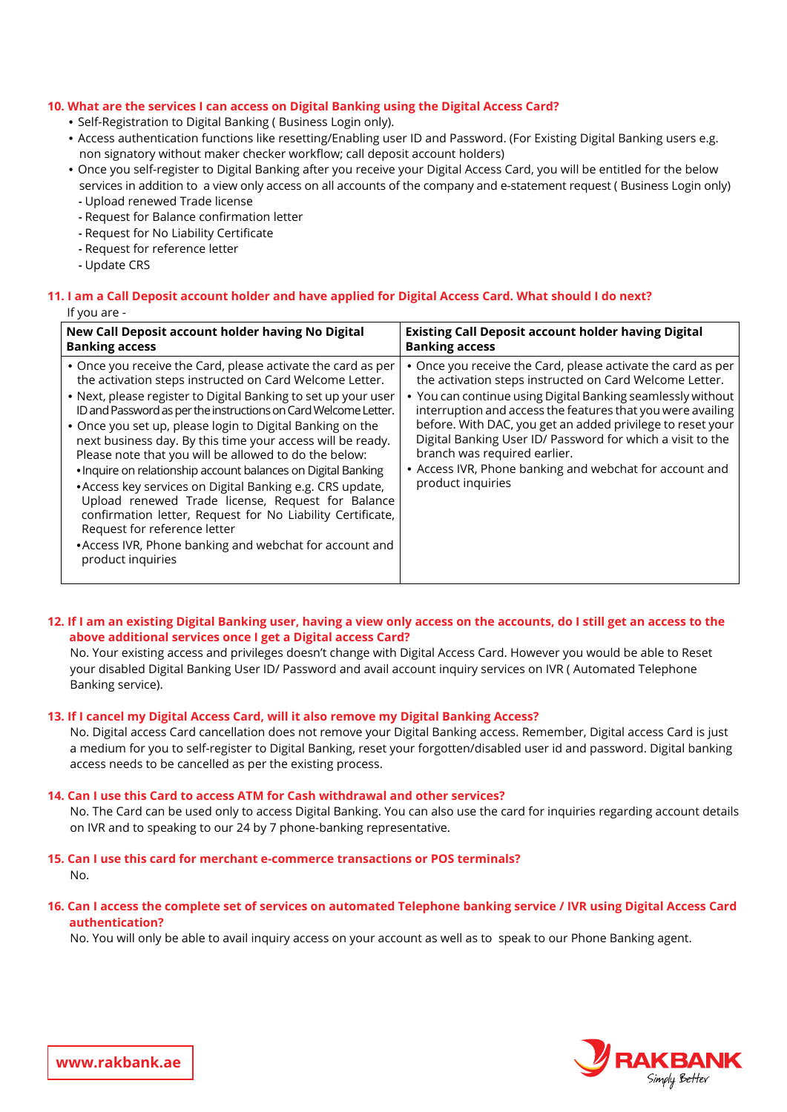# **10. What are the services I can access on Digital Banking using the Digital Access Card?**

- Self-Registration to Digital Banking ( Business Login only).
- . Access authentication functions like resetting/Enabling user ID and Password. (For Existing Digital Banking users e.g. non signatory without maker checker workflow; call deposit account holders)
- Once you self-register to Digital Banking after you receive your Digital Access Card, you will be entitled for the below services in addition to a view only access on all accounts of the company and e-statement request (Business Login only) - Upload renewed Trade license
- Request for Balance confirmation letter
- Request for No Liability Certificate
- Request for reference letter
- Update CRS

# 11. I am a Call Deposit account holder and have applied for Digital Access Card. What should I do next?

| lf you are - |  |
|--------------|--|
|--------------|--|

| New Call Deposit account holder having No Digital                                                                                                                                                                                                                                                                                                                                                                                                                                                                                                                                                                                                                                                                                                                                                                 | <b>Existing Call Deposit account holder having Digital</b>                                                                                                                                                                                                                                                                                                                                                                                                                                        |
|-------------------------------------------------------------------------------------------------------------------------------------------------------------------------------------------------------------------------------------------------------------------------------------------------------------------------------------------------------------------------------------------------------------------------------------------------------------------------------------------------------------------------------------------------------------------------------------------------------------------------------------------------------------------------------------------------------------------------------------------------------------------------------------------------------------------|---------------------------------------------------------------------------------------------------------------------------------------------------------------------------------------------------------------------------------------------------------------------------------------------------------------------------------------------------------------------------------------------------------------------------------------------------------------------------------------------------|
| <b>Banking access</b>                                                                                                                                                                                                                                                                                                                                                                                                                                                                                                                                                                                                                                                                                                                                                                                             | <b>Banking access</b>                                                                                                                                                                                                                                                                                                                                                                                                                                                                             |
| • Once you receive the Card, please activate the card as per<br>the activation steps instructed on Card Welcome Letter.<br>• Next, please register to Digital Banking to set up your user<br>ID and Password as per the instructions on Card Welcome Letter.<br>• Once you set up, please login to Digital Banking on the<br>next business day. By this time your access will be ready.<br>Please note that you will be allowed to do the below:<br>. Inquire on relationship account balances on Digital Banking<br>• Access key services on Digital Banking e.g. CRS update,<br>Upload renewed Trade license, Request for Balance<br>confirmation letter, Request for No Liability Certificate,<br>Request for reference letter<br>• Access IVR, Phone banking and webchat for account and<br>product inquiries | • Once you receive the Card, please activate the card as per<br>the activation steps instructed on Card Welcome Letter.<br>• You can continue using Digital Banking seamlessly without<br>interruption and access the features that you were availing<br>before. With DAC, you get an added privilege to reset your<br>Digital Banking User ID/ Password for which a visit to the<br>branch was required earlier.<br>• Access IVR, Phone banking and webchat for account and<br>product inquiries |

# 12. If I am an existing Digital Banking user, having a view only access on the accounts, do I still get an access to the above additional services once I get a Digital access Card?

No. Your existing access and privileges doesn't change with Digital Access Card. However you would be able to Reset your disabled Digital Banking User ID/ Password and avail account inquiry services on IVR (Automated Telephone Banking service).

# 13. If I cancel my Digital Access Card, will it also remove my Digital Banking Access?

No. Digital access Card cancellation does not remove your Digital Banking access. Remember, Digital access Card is just a medium for you to self-register to Digital Banking, reset your forgotten/disabled user id and password. Digital banking access needs to be cancelled as per the existing process.

#### **14. Can I use this Card to access ATM for Cash withdrawal and other services?**

No. The Card can be used only to access Digital Banking. You can also use the card for inquiries regarding account details on IVR and to speaking to our 24 by 7 phone-banking representative.

#### **15. Can I use this card for merchant e-commerce transactions or POS terminals?** .No

# 16. Can I access the complete set of services on automated Telephone banking service / IVR using Digital Access Card **?authentication**

No. You will only be able to avail inquiry access on your account as well as to speak to our Phone Banking agent.